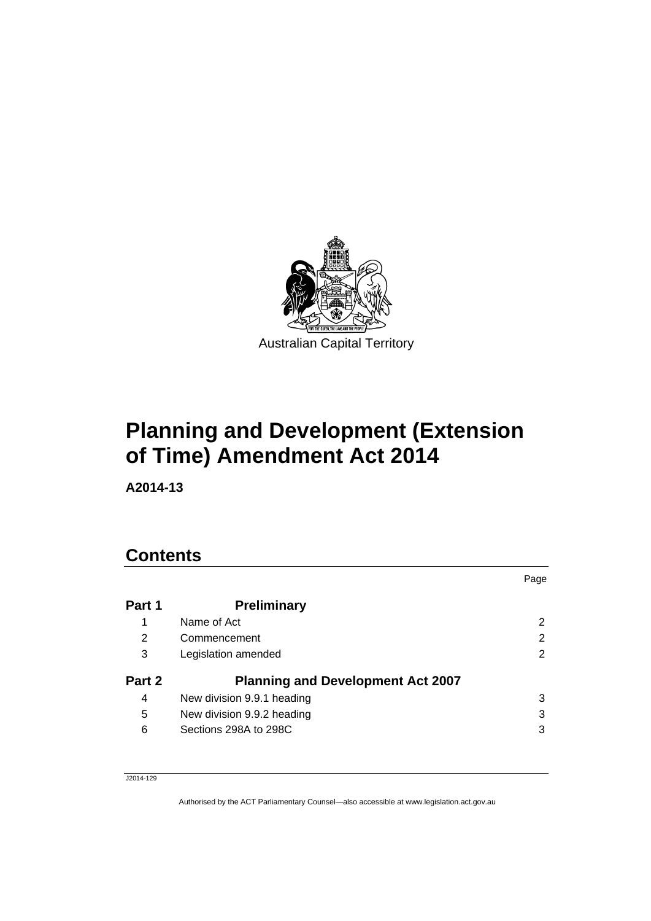

# **Planning and Development (Extension of Time) Amendment Act 2014**

**A2014-13** 

## **Contents**

|        |                                          | Page |
|--------|------------------------------------------|------|
| Part 1 | <b>Preliminary</b>                       |      |
| 1      | Name of Act                              | 2    |
| 2      | Commencement                             | 2    |
| 3      | Legislation amended                      | 2    |
| Part 2 | <b>Planning and Development Act 2007</b> |      |
| 4      | New division 9.9.1 heading               | 3    |
| 5      | New division 9.9.2 heading               | 3    |
| 6      | Sections 298A to 298C                    | 3    |

J2014-129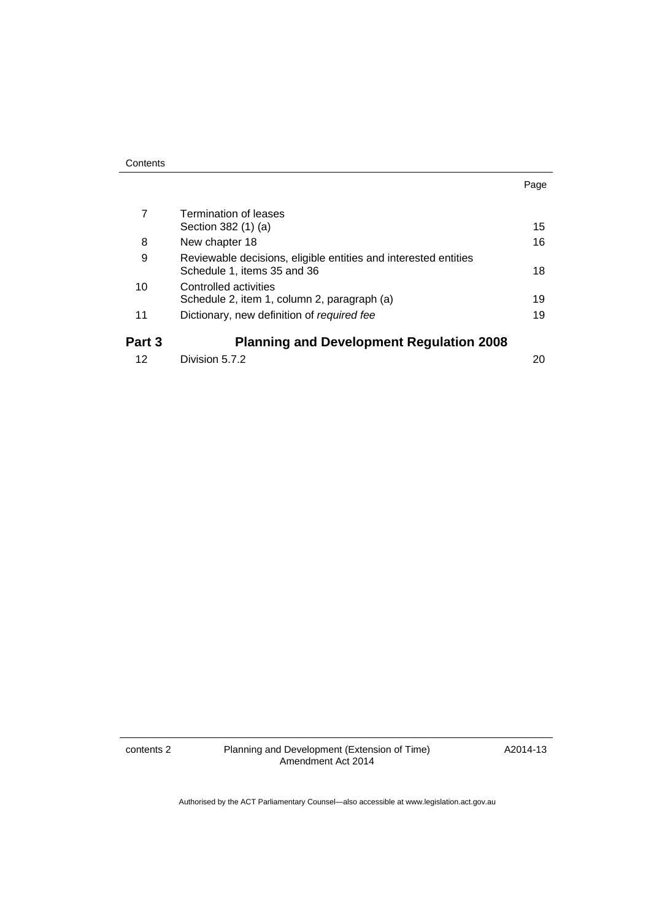| Contents |
|----------|
|----------|

|        | <b>Termination of leases</b><br>Section 382 (1) (a)                                            | 15 |
|--------|------------------------------------------------------------------------------------------------|----|
| 8      | New chapter 18                                                                                 | 16 |
| 9      | Reviewable decisions, eligible entities and interested entities<br>Schedule 1, items 35 and 36 | 18 |
| 10     | Controlled activities<br>Schedule 2, item 1, column 2, paragraph (a)                           | 19 |
| 11     | Dictionary, new definition of required fee                                                     | 19 |
| Part 3 | <b>Planning and Development Regulation 2008</b>                                                |    |
| 12     | Division 5.7.2                                                                                 | 20 |

contents 2 Planning and Development (Extension of Time) Amendment Act 2014

A2014-13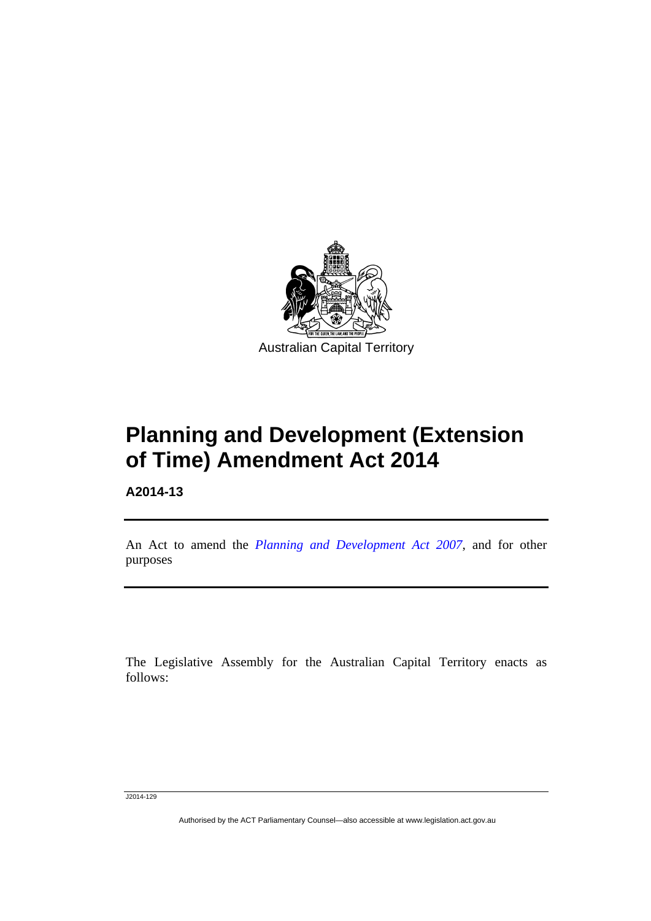

# **Planning and Development (Extension of Time) Amendment Act 2014**

**A2014-13** 

Ī

An Act to amend the *[Planning and Development Act 2007](http://www.legislation.act.gov.au/a/2007-24)*, and for other purposes

The Legislative Assembly for the Australian Capital Territory enacts as follows:

J2014-129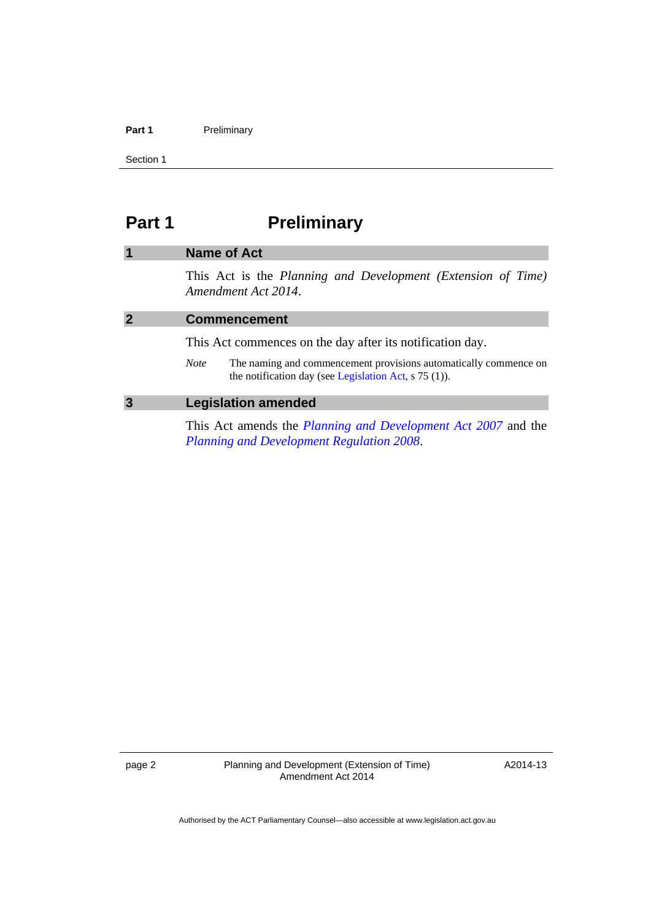#### Part 1 **Preliminary**

Section 1

## <span id="page-3-0"></span>**Part 1** Preliminary

## <span id="page-3-2"></span><span id="page-3-1"></span>**1 Name of Act**  This Act is the *Planning and Development (Extension of Time) Amendment Act 2014*. **2 Commencement**  This Act commences on the day after its notification day. *Note* The naming and commencement provisions automatically commence on the notification day (see [Legislation Act,](http://www.legislation.act.gov.au/a/2001-14) s 75 (1)).

#### <span id="page-3-3"></span>**3 Legislation amended**

This Act amends the *[Planning and Development Act 2007](http://www.legislation.act.gov.au/a/2007-24)* and the *[Planning and Development Regulation 2008](http://www.legislation.act.gov.au/sl/2008-2)*.

page 2 Planning and Development (Extension of Time) Amendment Act 2014

A2014-13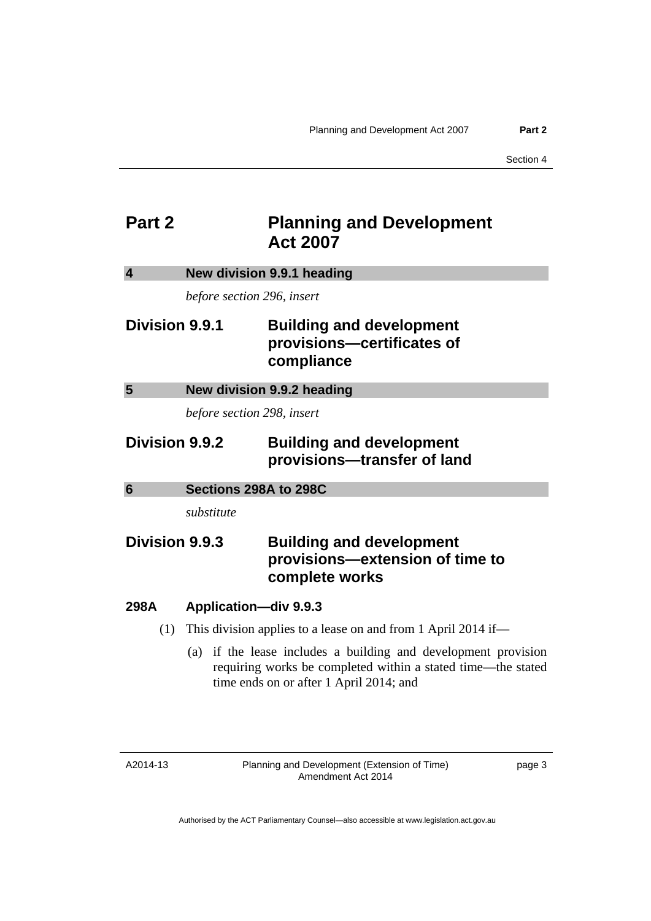## <span id="page-4-0"></span>**Part 2** Planning and Development **Act 2007**

<span id="page-4-3"></span><span id="page-4-2"></span><span id="page-4-1"></span>

| $\overline{\mathbf{4}}$ | New division 9.9.1 heading   |                                                                                                                                                                       |
|-------------------------|------------------------------|-----------------------------------------------------------------------------------------------------------------------------------------------------------------------|
|                         | before section 296, insert   |                                                                                                                                                                       |
| Division 9.9.1          |                              | <b>Building and development</b><br>provisions-certificates of<br>compliance                                                                                           |
| 5                       | New division 9.9.2 heading   |                                                                                                                                                                       |
|                         | before section 298, insert   |                                                                                                                                                                       |
| Division 9.9.2          |                              | <b>Building and development</b><br>provisions-transfer of land                                                                                                        |
| $6\phantom{1}6$         | Sections 298A to 298C        |                                                                                                                                                                       |
|                         | substitute                   |                                                                                                                                                                       |
| Division 9.9.3          |                              | <b>Building and development</b><br>provisions-extension of time to<br>complete works                                                                                  |
| 298A                    | <b>Application-div 9.9.3</b> |                                                                                                                                                                       |
| (1)                     |                              | This division applies to a lease on and from 1 April 2014 if—                                                                                                         |
|                         | (a)                          | if the lease includes a building and development provision<br>requiring works be completed within a stated time—the stated<br>time ends on or after 1 April 2014; and |

A2014-13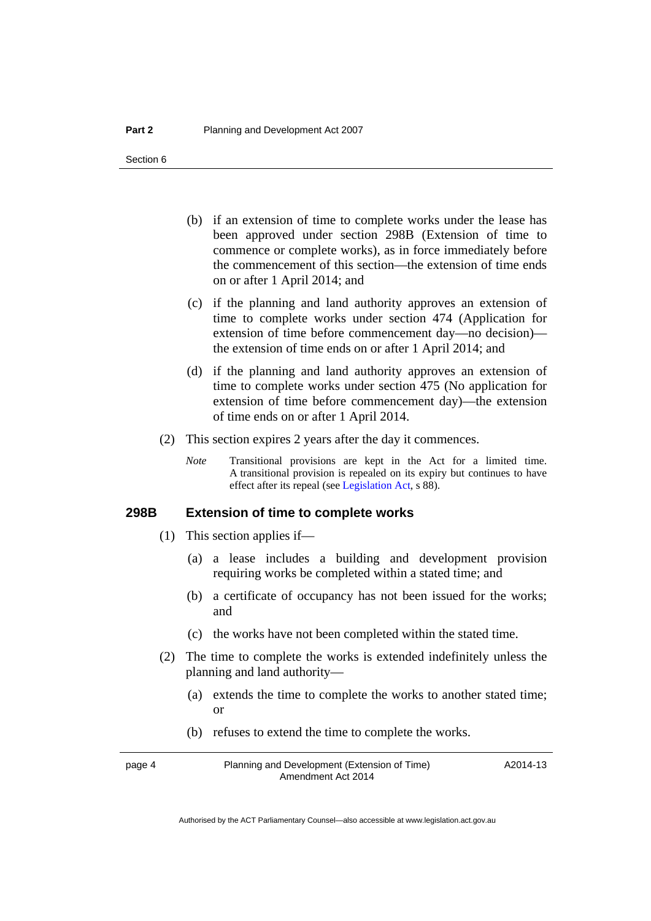- (b) if an extension of time to complete works under the lease has been approved under section 298B (Extension of time to commence or complete works), as in force immediately before the commencement of this section—the extension of time ends on or after 1 April 2014; and
- (c) if the planning and land authority approves an extension of time to complete works under section 474 (Application for extension of time before commencement day—no decision) the extension of time ends on or after 1 April 2014; and
- (d) if the planning and land authority approves an extension of time to complete works under section 475 (No application for extension of time before commencement day)—the extension of time ends on or after 1 April 2014.
- (2) This section expires 2 years after the day it commences.
	- *Note* Transitional provisions are kept in the Act for a limited time. A transitional provision is repealed on its expiry but continues to have effect after its repeal (see [Legislation Act,](http://www.legislation.act.gov.au/a/2001-14) s 88).

### **298B Extension of time to complete works**

- (1) This section applies if—
	- (a) a lease includes a building and development provision requiring works be completed within a stated time; and
	- (b) a certificate of occupancy has not been issued for the works; and
	- (c) the works have not been completed within the stated time.
- (2) The time to complete the works is extended indefinitely unless the planning and land authority—
	- (a) extends the time to complete the works to another stated time; or
	- (b) refuses to extend the time to complete the works.

page 4 Planning and Development (Extension of Time) Amendment Act 2014

A2014-13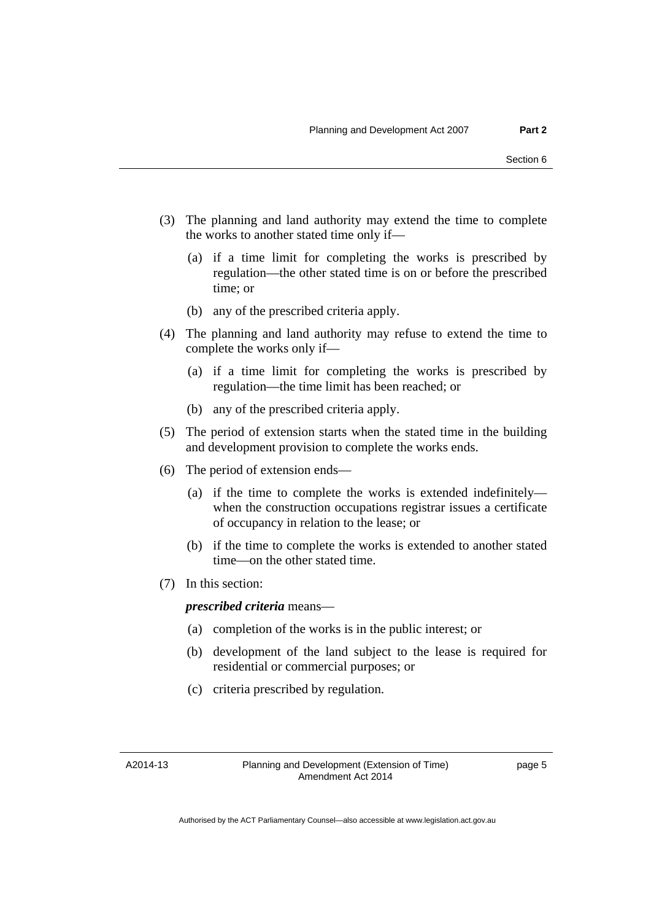- (3) The planning and land authority may extend the time to complete the works to another stated time only if—
	- (a) if a time limit for completing the works is prescribed by regulation—the other stated time is on or before the prescribed time; or
	- (b) any of the prescribed criteria apply.
- (4) The planning and land authority may refuse to extend the time to complete the works only if—
	- (a) if a time limit for completing the works is prescribed by regulation—the time limit has been reached; or
	- (b) any of the prescribed criteria apply.
- (5) The period of extension starts when the stated time in the building and development provision to complete the works ends.
- (6) The period of extension ends—
	- (a) if the time to complete the works is extended indefinitely when the construction occupations registrar issues a certificate of occupancy in relation to the lease; or
	- (b) if the time to complete the works is extended to another stated time—on the other stated time.
- (7) In this section:

### *prescribed criteria* means—

- (a) completion of the works is in the public interest; or
- (b) development of the land subject to the lease is required for residential or commercial purposes; or
- (c) criteria prescribed by regulation.

A2014-13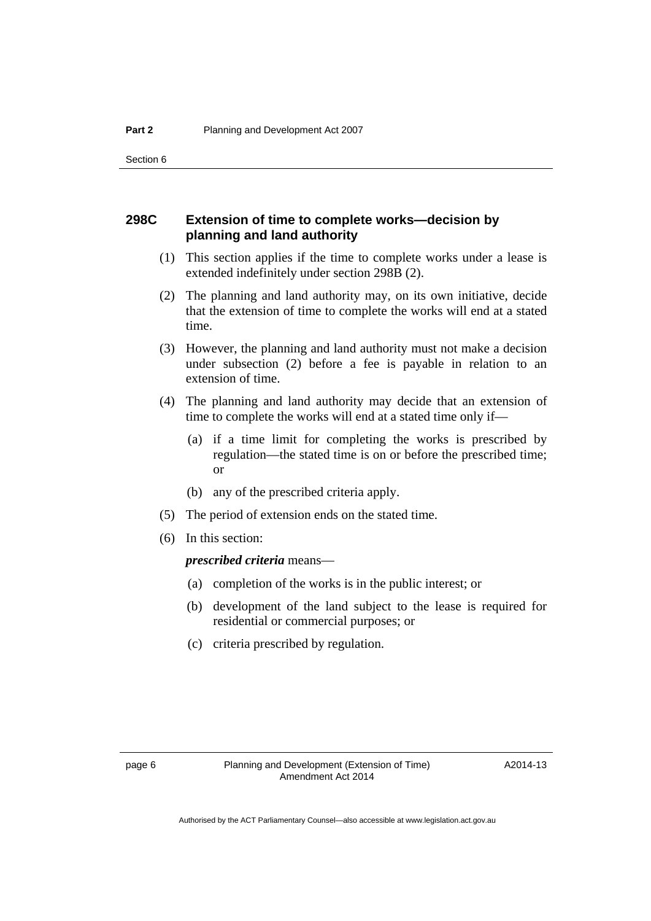## **298C Extension of time to complete works—decision by planning and land authority**

- (1) This section applies if the time to complete works under a lease is extended indefinitely under section 298B (2).
- (2) The planning and land authority may, on its own initiative, decide that the extension of time to complete the works will end at a stated time.
- (3) However, the planning and land authority must not make a decision under subsection (2) before a fee is payable in relation to an extension of time.
- (4) The planning and land authority may decide that an extension of time to complete the works will end at a stated time only if—
	- (a) if a time limit for completing the works is prescribed by regulation—the stated time is on or before the prescribed time; or
	- (b) any of the prescribed criteria apply.
- (5) The period of extension ends on the stated time.
- (6) In this section:

*prescribed criteria* means—

- (a) completion of the works is in the public interest; or
- (b) development of the land subject to the lease is required for residential or commercial purposes; or
- (c) criteria prescribed by regulation.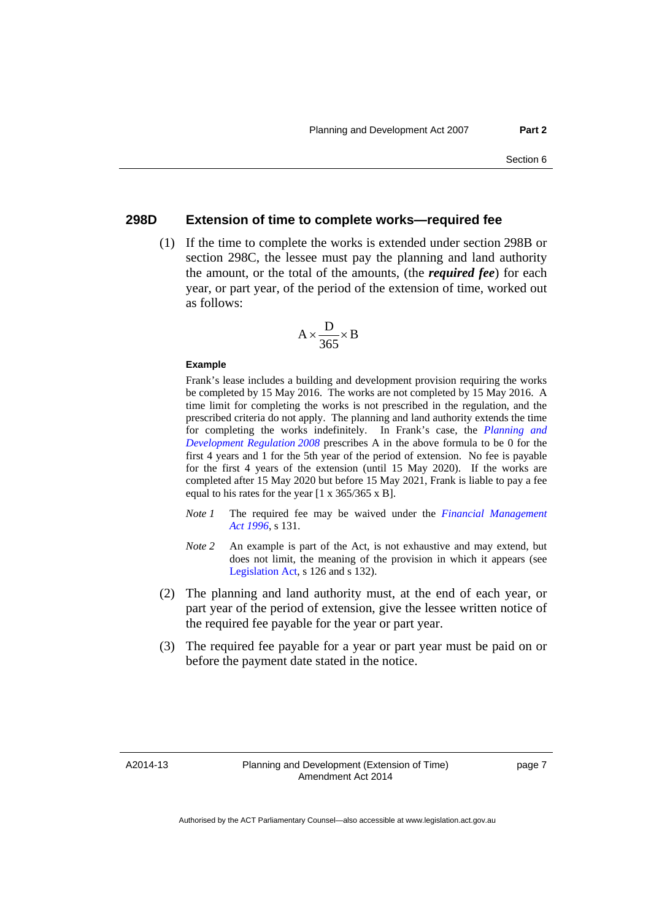#### **298D Extension of time to complete works—required fee**

 (1) If the time to complete the works is extended under section 298B or section 298C, the lessee must pay the planning and land authority the amount, or the total of the amounts, (the *required fee*) for each year, or part year, of the period of the extension of time, worked out as follows:

$$
A \times \frac{D}{365} \times B
$$

#### **Example**

Frank's lease includes a building and development provision requiring the works be completed by 15 May 2016. The works are not completed by 15 May 2016. A time limit for completing the works is not prescribed in the regulation, and the prescribed criteria do not apply. The planning and land authority extends the time for completing the works indefinitely. In Frank's case, the *[Planning and](http://www.legislation.act.gov.au/sl/2008-2)  [Development Regulation 2008](http://www.legislation.act.gov.au/sl/2008-2)* prescribes A in the above formula to be 0 for the first 4 years and 1 for the 5th year of the period of extension. No fee is payable for the first 4 years of the extension (until 15 May 2020). If the works are completed after 15 May 2020 but before 15 May 2021, Frank is liable to pay a fee equal to his rates for the year [1 x 365/365 x B].

- *Note 1* The required fee may be waived under the *[Financial Management](http://www.legislation.act.gov.au/a/1996-22)  [Act 1996](http://www.legislation.act.gov.au/a/1996-22)*, s 131.
- *Note 2* An example is part of the Act, is not exhaustive and may extend, but does not limit, the meaning of the provision in which it appears (see [Legislation Act,](http://www.legislation.act.gov.au/a/2001-14) s 126 and s 132).
- (2) The planning and land authority must, at the end of each year, or part year of the period of extension, give the lessee written notice of the required fee payable for the year or part year.
- (3) The required fee payable for a year or part year must be paid on or before the payment date stated in the notice.

A2014-13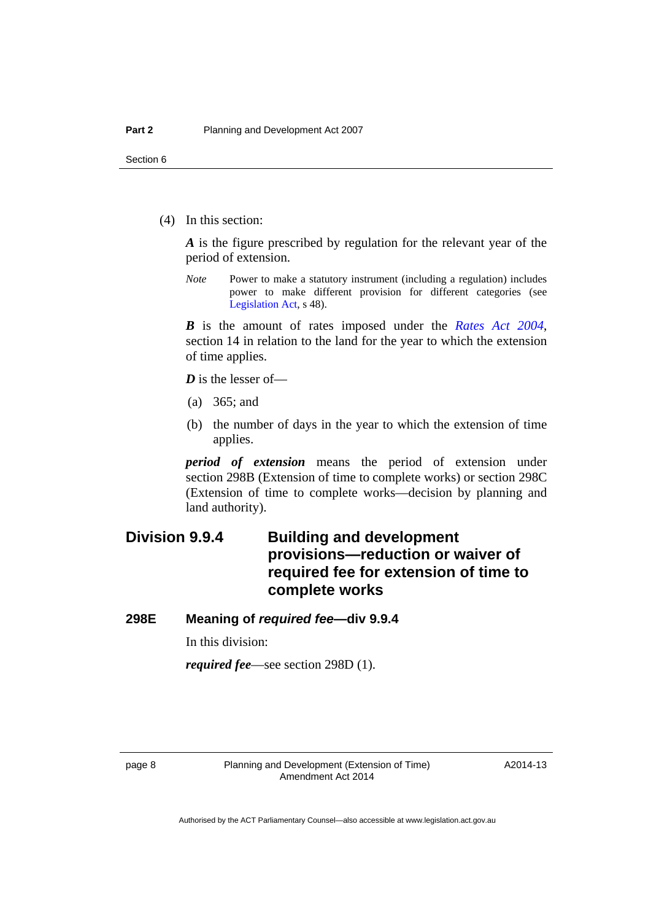(4) In this section:

*A* is the figure prescribed by regulation for the relevant year of the period of extension.

*Note* Power to make a statutory instrument (including a regulation) includes power to make different provision for different categories (see [Legislation Act,](http://www.legislation.act.gov.au/a/2001-14) s 48).

*B* is the amount of rates imposed under the *[Rates Act 2004](http://www.legislation.act.gov.au/a/2004-3)*, section 14 in relation to the land for the year to which the extension of time applies.

*D* is the lesser of—

- (a) 365; and
- (b) the number of days in the year to which the extension of time applies.

*period of extension* means the period of extension under section 298B (Extension of time to complete works) or section 298C (Extension of time to complete works—decision by planning and land authority).

## **Division 9.9.4 Building and development provisions—reduction or waiver of required fee for extension of time to complete works**

## **298E Meaning of** *required fee***—div 9.9.4**

In this division:

*required fee*—see section 298D (1).

A2014-13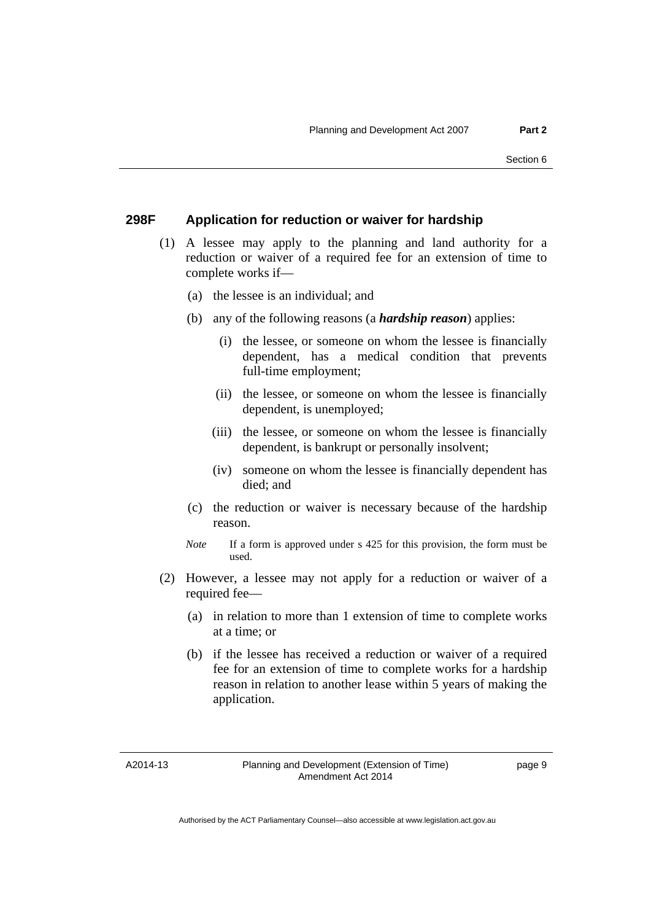### **298F Application for reduction or waiver for hardship**

- (1) A lessee may apply to the planning and land authority for a reduction or waiver of a required fee for an extension of time to complete works if—
	- (a) the lessee is an individual; and
	- (b) any of the following reasons (a *hardship reason*) applies:
		- (i) the lessee, or someone on whom the lessee is financially dependent, has a medical condition that prevents full-time employment;
		- (ii) the lessee, or someone on whom the lessee is financially dependent, is unemployed;
		- (iii) the lessee, or someone on whom the lessee is financially dependent, is bankrupt or personally insolvent;
		- (iv) someone on whom the lessee is financially dependent has died; and
	- (c) the reduction or waiver is necessary because of the hardship reason.
	- *Note* If a form is approved under s 425 for this provision, the form must be used.
- (2) However, a lessee may not apply for a reduction or waiver of a required fee—
	- (a) in relation to more than 1 extension of time to complete works at a time; or
	- (b) if the lessee has received a reduction or waiver of a required fee for an extension of time to complete works for a hardship reason in relation to another lease within 5 years of making the application.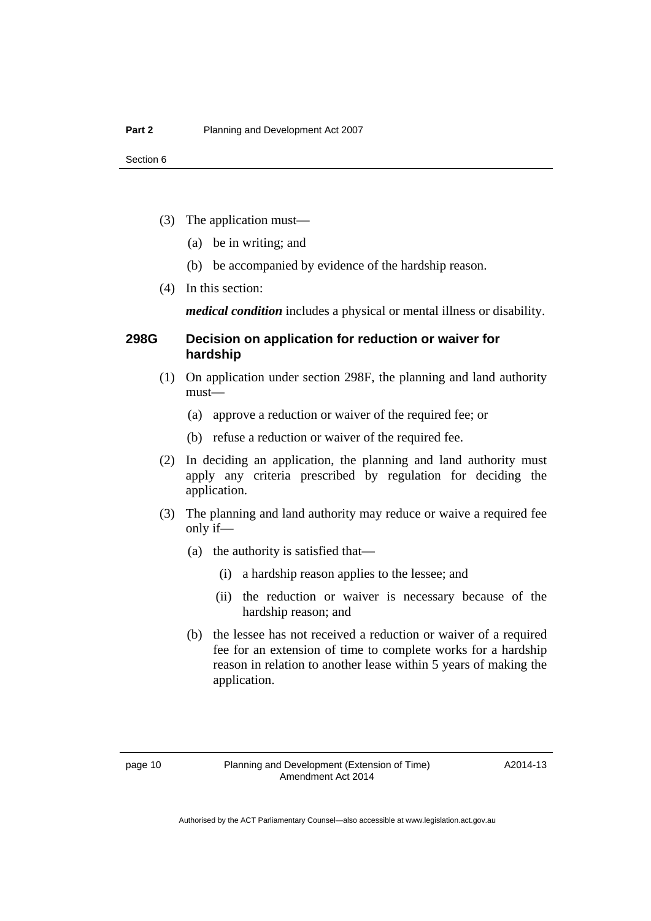- (3) The application must—
	- (a) be in writing; and
	- (b) be accompanied by evidence of the hardship reason.
- (4) In this section:

*medical condition* includes a physical or mental illness or disability.

## **298G Decision on application for reduction or waiver for hardship**

- (1) On application under section 298F, the planning and land authority must—
	- (a) approve a reduction or waiver of the required fee; or
	- (b) refuse a reduction or waiver of the required fee.
- (2) In deciding an application, the planning and land authority must apply any criteria prescribed by regulation for deciding the application.
- (3) The planning and land authority may reduce or waive a required fee only if—
	- (a) the authority is satisfied that—
		- (i) a hardship reason applies to the lessee; and
		- (ii) the reduction or waiver is necessary because of the hardship reason; and
	- (b) the lessee has not received a reduction or waiver of a required fee for an extension of time to complete works for a hardship reason in relation to another lease within 5 years of making the application.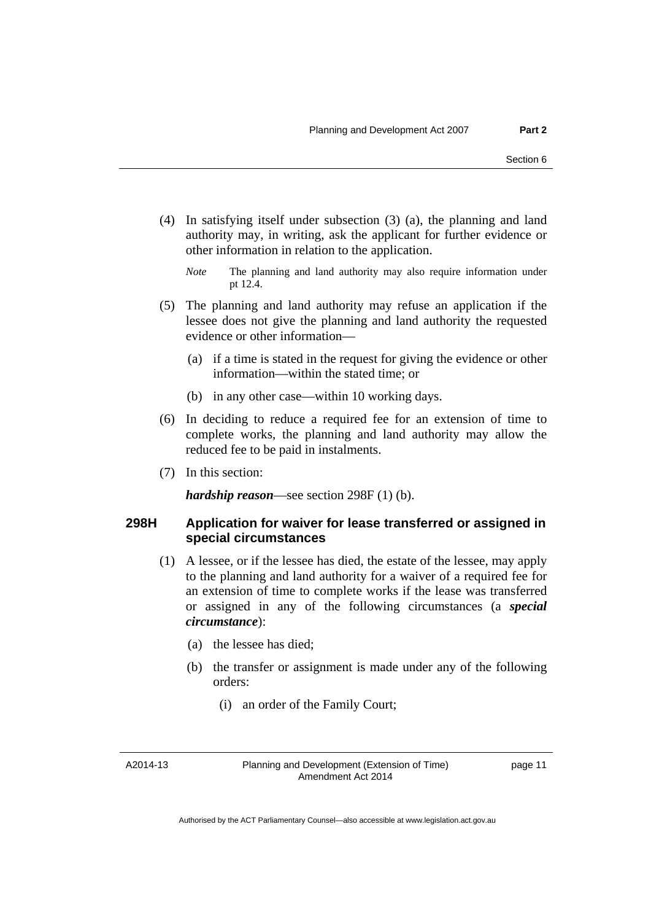(4) In satisfying itself under subsection (3) (a), the planning and land authority may, in writing, ask the applicant for further evidence or other information in relation to the application.

- (5) The planning and land authority may refuse an application if the lessee does not give the planning and land authority the requested evidence or other information—
	- (a) if a time is stated in the request for giving the evidence or other information—within the stated time; or
	- (b) in any other case—within 10 working days.
- (6) In deciding to reduce a required fee for an extension of time to complete works, the planning and land authority may allow the reduced fee to be paid in instalments.
- (7) In this section:

*hardship reason*—see section 298F (1) (b).

## **298H Application for waiver for lease transferred or assigned in special circumstances**

- (1) A lessee, or if the lessee has died, the estate of the lessee, may apply to the planning and land authority for a waiver of a required fee for an extension of time to complete works if the lease was transferred or assigned in any of the following circumstances (a *special circumstance*):
	- (a) the lessee has died;
	- (b) the transfer or assignment is made under any of the following orders:
		- (i) an order of the Family Court;

A2014-13

Planning and Development (Extension of Time) Amendment Act 2014

*Note* The planning and land authority may also require information under pt 12.4.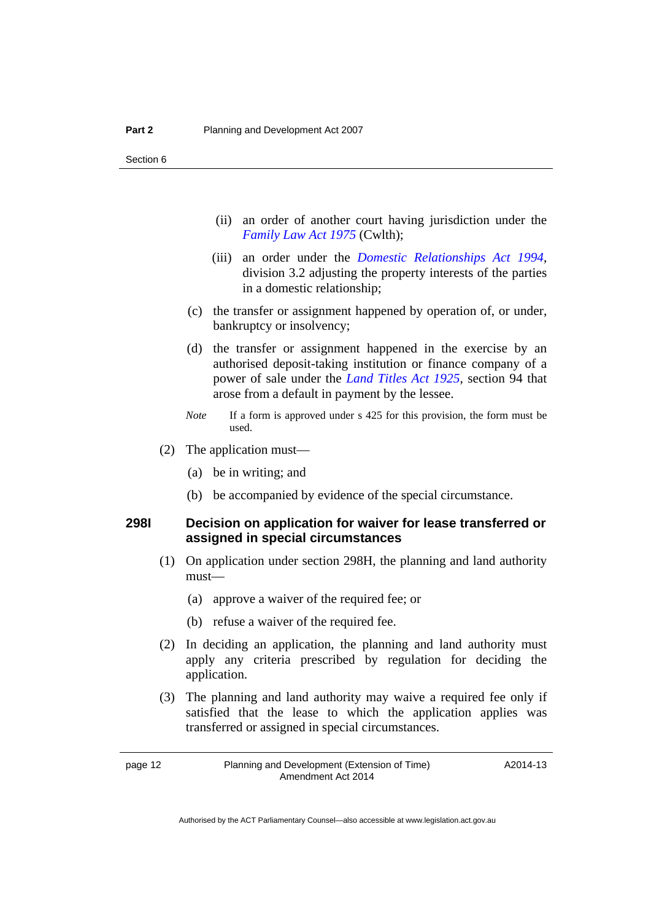- (ii) an order of another court having jurisdiction under the *[Family Law Act 1975](http://www.comlaw.gov.au/Series/C2004A00275)* (Cwlth);
- (iii) an order under the *[Domestic Relationships Act 1994](http://www.legislation.act.gov.au/a/1994-28)*, division 3.2 adjusting the property interests of the parties in a domestic relationship;
- (c) the transfer or assignment happened by operation of, or under, bankruptcy or insolvency;
- (d) the transfer or assignment happened in the exercise by an authorised deposit-taking institution or finance company of a power of sale under the *[Land Titles Act 1925](http://www.legislation.act.gov.au/a/1925-1)*, section 94 that arose from a default in payment by the lessee.
- *Note* If a form is approved under s 425 for this provision, the form must be used.
- (2) The application must—
	- (a) be in writing; and
	- (b) be accompanied by evidence of the special circumstance.

## **298I Decision on application for waiver for lease transferred or assigned in special circumstances**

- (1) On application under section 298H, the planning and land authority must—
	- (a) approve a waiver of the required fee; or
	- (b) refuse a waiver of the required fee.
- (2) In deciding an application, the planning and land authority must apply any criteria prescribed by regulation for deciding the application.
- (3) The planning and land authority may waive a required fee only if satisfied that the lease to which the application applies was transferred or assigned in special circumstances.

page 12 Planning and Development (Extension of Time) Amendment Act 2014

A2014-13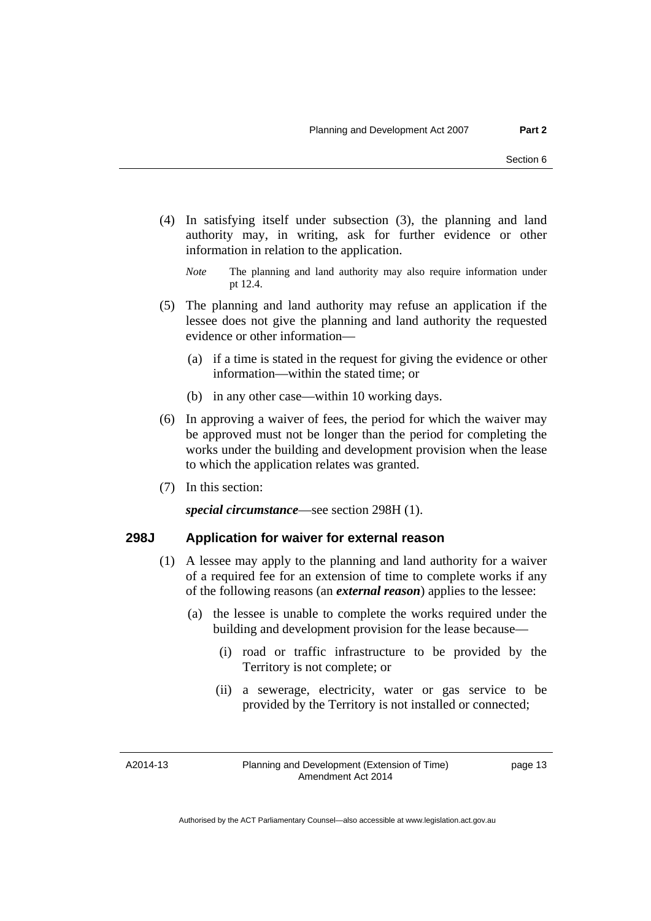(4) In satisfying itself under subsection (3), the planning and land authority may, in writing, ask for further evidence or other information in relation to the application.

- (5) The planning and land authority may refuse an application if the lessee does not give the planning and land authority the requested evidence or other information—
	- (a) if a time is stated in the request for giving the evidence or other information—within the stated time; or
	- (b) in any other case—within 10 working days.
- (6) In approving a waiver of fees, the period for which the waiver may be approved must not be longer than the period for completing the works under the building and development provision when the lease to which the application relates was granted.
- (7) In this section:

*special circumstance*—see section 298H (1).

#### **298J Application for waiver for external reason**

- (1) A lessee may apply to the planning and land authority for a waiver of a required fee for an extension of time to complete works if any of the following reasons (an *external reason*) applies to the lessee:
	- (a) the lessee is unable to complete the works required under the building and development provision for the lease because—
		- (i) road or traffic infrastructure to be provided by the Territory is not complete; or
		- (ii) a sewerage, electricity, water or gas service to be provided by the Territory is not installed or connected;

A2014-13

Planning and Development (Extension of Time) Amendment Act 2014

*Note* The planning and land authority may also require information under pt 12.4.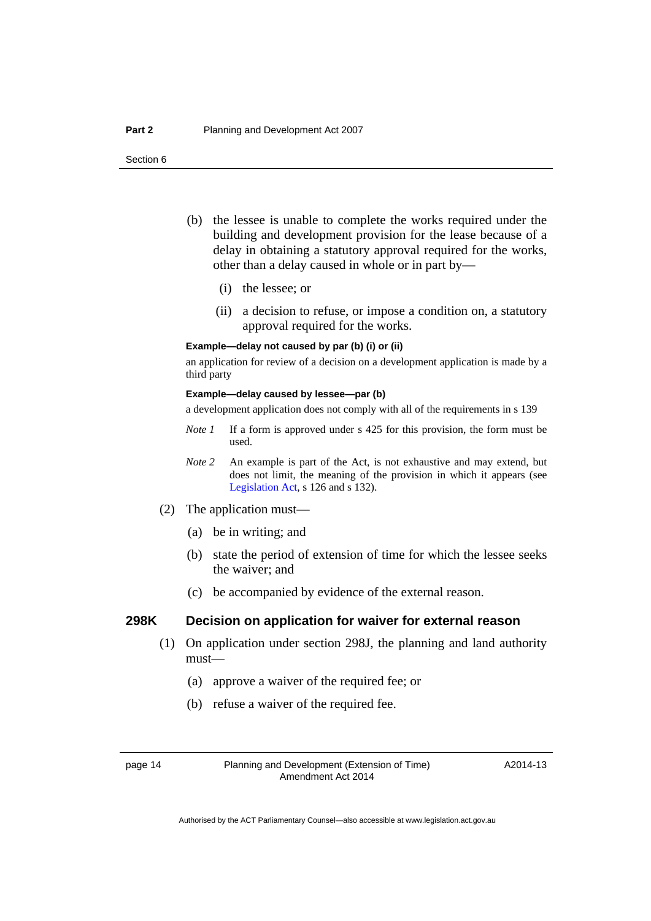- (b) the lessee is unable to complete the works required under the building and development provision for the lease because of a delay in obtaining a statutory approval required for the works, other than a delay caused in whole or in part by—
	- (i) the lessee; or
	- (ii) a decision to refuse, or impose a condition on, a statutory approval required for the works.

#### **Example—delay not caused by par (b) (i) or (ii)**

an application for review of a decision on a development application is made by a third party

#### **Example—delay caused by lessee—par (b)**

a development application does not comply with all of the requirements in s 139

- *Note 1* If a form is approved under s 425 for this provision, the form must be used.
- *Note 2* An example is part of the Act, is not exhaustive and may extend, but does not limit, the meaning of the provision in which it appears (see [Legislation Act,](http://www.legislation.act.gov.au/a/2001-14) s 126 and s 132).
- (2) The application must—
	- (a) be in writing; and
	- (b) state the period of extension of time for which the lessee seeks the waiver; and
	- (c) be accompanied by evidence of the external reason.

#### **298K Decision on application for waiver for external reason**

- (1) On application under section 298J, the planning and land authority must—
	- (a) approve a waiver of the required fee; or
	- (b) refuse a waiver of the required fee.

A2014-13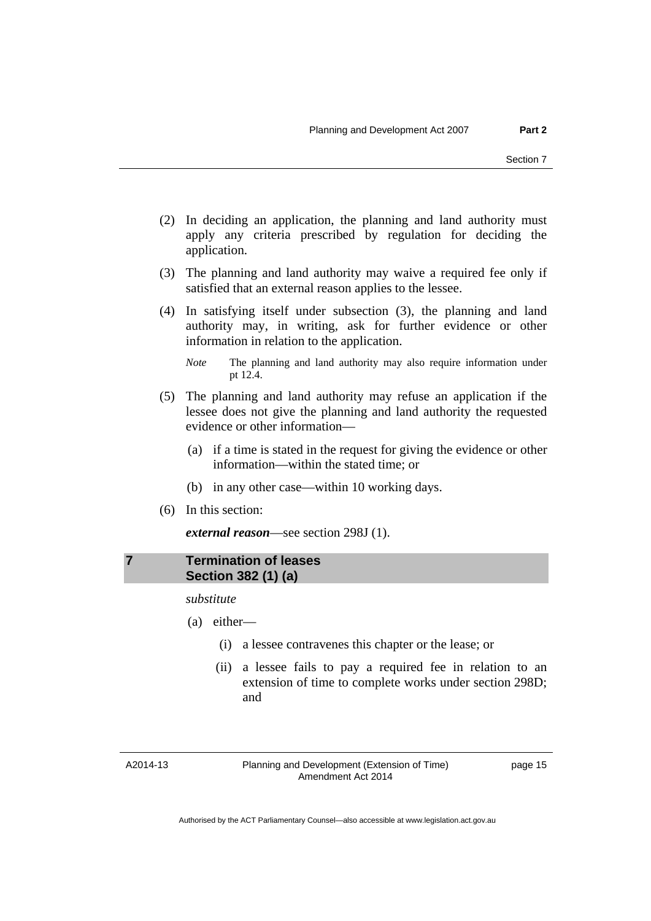- (2) In deciding an application, the planning and land authority must apply any criteria prescribed by regulation for deciding the application.
- (3) The planning and land authority may waive a required fee only if satisfied that an external reason applies to the lessee.
- (4) In satisfying itself under subsection (3), the planning and land authority may, in writing, ask for further evidence or other information in relation to the application.
	- *Note* The planning and land authority may also require information under pt 12.4.
- (5) The planning and land authority may refuse an application if the lessee does not give the planning and land authority the requested evidence or other information—
	- (a) if a time is stated in the request for giving the evidence or other information—within the stated time; or
	- (b) in any other case—within 10 working days.
- (6) In this section:

*external reason*—see section 298J (1).

## <span id="page-16-0"></span>**7 Termination of leases Section 382 (1) (a)**

*substitute* 

- (a) either—
	- (i) a lessee contravenes this chapter or the lease; or
	- (ii) a lessee fails to pay a required fee in relation to an extension of time to complete works under section 298D; and

A2014-13

Planning and Development (Extension of Time) Amendment Act 2014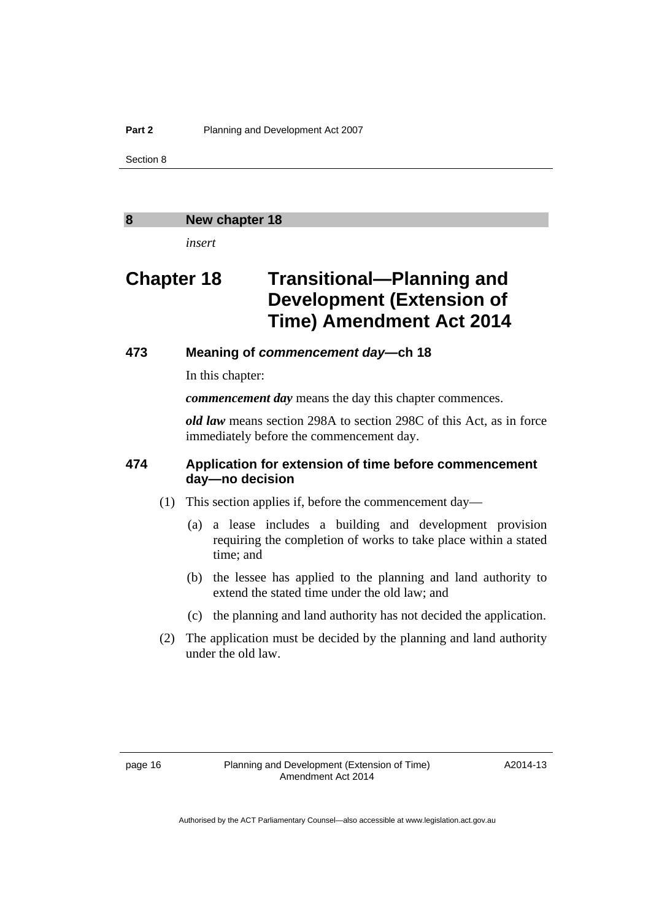#### <span id="page-17-0"></span>**8 New chapter 18**

*insert* 

## **Chapter 18 Transitional—Planning and Development (Extension of Time) Amendment Act 2014**

## **473 Meaning of** *commencement day***—ch 18**

In this chapter:

*commencement day* means the day this chapter commences.

*old law* means section 298A to section 298C of this Act, as in force immediately before the commencement day.

## **474 Application for extension of time before commencement day—no decision**

- (1) This section applies if, before the commencement day—
	- (a) a lease includes a building and development provision requiring the completion of works to take place within a stated time; and
	- (b) the lessee has applied to the planning and land authority to extend the stated time under the old law; and
	- (c) the planning and land authority has not decided the application.
- (2) The application must be decided by the planning and land authority under the old law.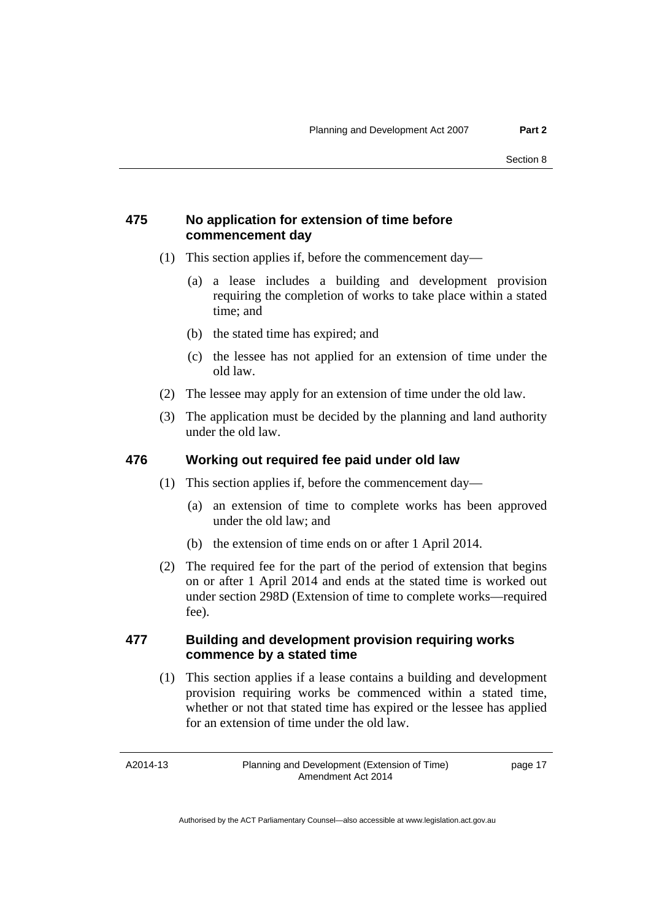## **475 No application for extension of time before commencement day**

- (1) This section applies if, before the commencement day—
	- (a) a lease includes a building and development provision requiring the completion of works to take place within a stated time; and
	- (b) the stated time has expired; and
	- (c) the lessee has not applied for an extension of time under the old law.
- (2) The lessee may apply for an extension of time under the old law.
- (3) The application must be decided by the planning and land authority under the old law.

### **476 Working out required fee paid under old law**

- (1) This section applies if, before the commencement day—
	- (a) an extension of time to complete works has been approved under the old law; and
	- (b) the extension of time ends on or after 1 April 2014.
- (2) The required fee for the part of the period of extension that begins on or after 1 April 2014 and ends at the stated time is worked out under section 298D (Extension of time to complete works—required fee).

## **477 Building and development provision requiring works commence by a stated time**

 (1) This section applies if a lease contains a building and development provision requiring works be commenced within a stated time, whether or not that stated time has expired or the lessee has applied for an extension of time under the old law.

A2014-13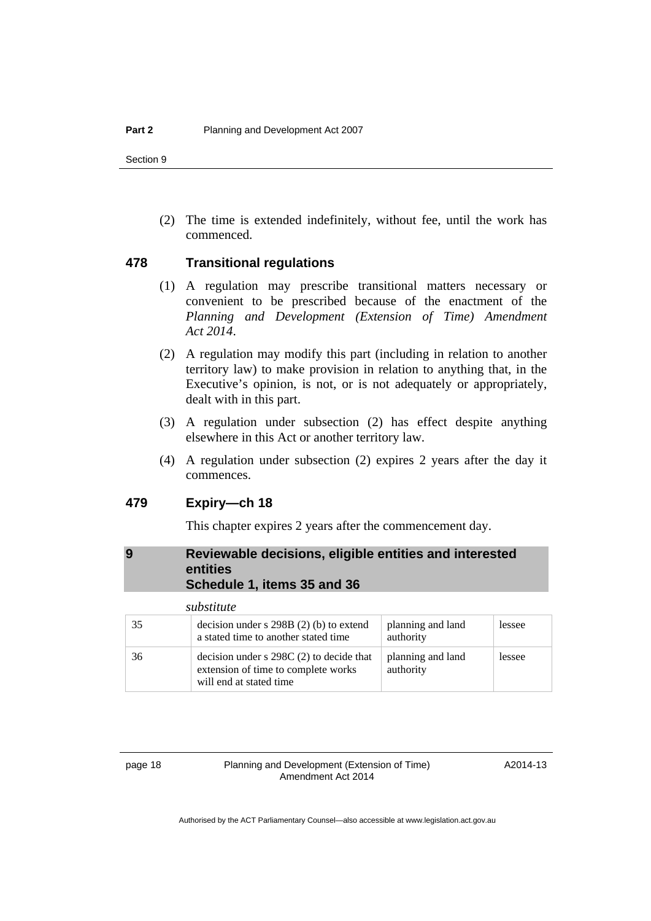(2) The time is extended indefinitely, without fee, until the work has commenced.

#### **478 Transitional regulations**

- (1) A regulation may prescribe transitional matters necessary or convenient to be prescribed because of the enactment of the *Planning and Development (Extension of Time) Amendment Act 2014*.
- (2) A regulation may modify this part (including in relation to another territory law) to make provision in relation to anything that, in the Executive's opinion, is not, or is not adequately or appropriately, dealt with in this part.
- (3) A regulation under subsection (2) has effect despite anything elsewhere in this Act or another territory law.
- (4) A regulation under subsection (2) expires 2 years after the day it commences.

### **479 Expiry—ch 18**

This chapter expires 2 years after the commencement day.

### <span id="page-19-0"></span>**9 Reviewable decisions, eligible entities and interested entities Schedule 1, items 35 and 36**

|    | substitute                                                                                                   |                                |        |
|----|--------------------------------------------------------------------------------------------------------------|--------------------------------|--------|
| 35 | decision under $s$ 298B (2) (b) to extend<br>a stated time to another stated time                            | planning and land<br>authority | lessee |
| 36 | decision under $s$ 298C (2) to decide that<br>extension of time to complete works<br>will end at stated time | planning and land<br>authority | lessee |

page 18 Planning and Development (Extension of Time) Amendment Act 2014

A2014-13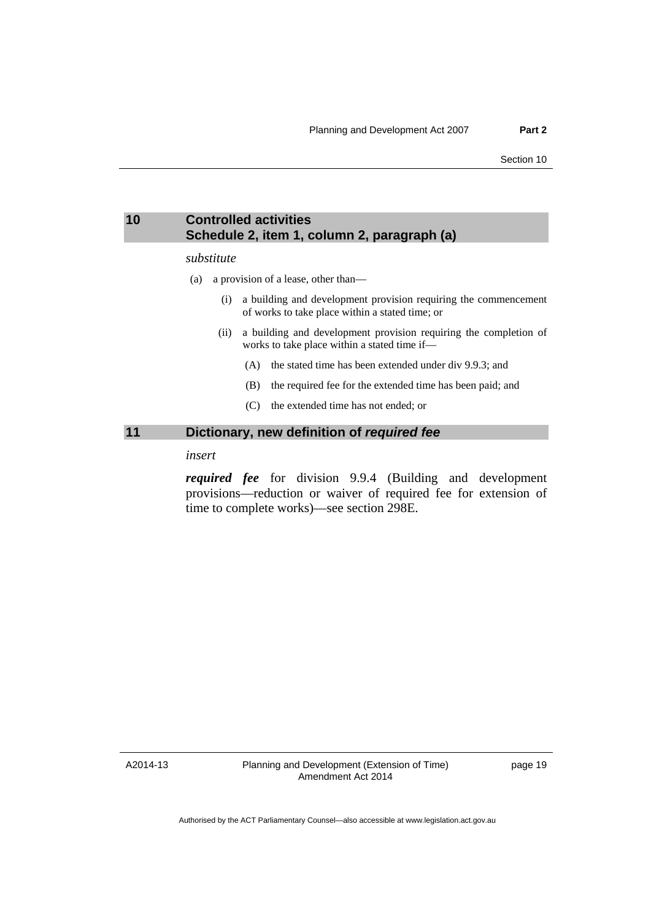### <span id="page-20-0"></span>**10 Controlled activities Schedule 2, item 1, column 2, paragraph (a)**

#### *substitute*

- (a) a provision of a lease, other than—
	- (i) a building and development provision requiring the commencement of works to take place within a stated time; or
	- (ii) a building and development provision requiring the completion of works to take place within a stated time if—
		- (A) the stated time has been extended under div 9.9.3; and
		- (B) the required fee for the extended time has been paid; and
		- (C) the extended time has not ended; or

#### <span id="page-20-1"></span>**11 Dictionary, new definition of** *required fee*

### *insert*

*required fee* for division 9.9.4 (Building and development provisions—reduction or waiver of required fee for extension of time to complete works)—see section 298E.

A2014-13

Planning and Development (Extension of Time) Amendment Act 2014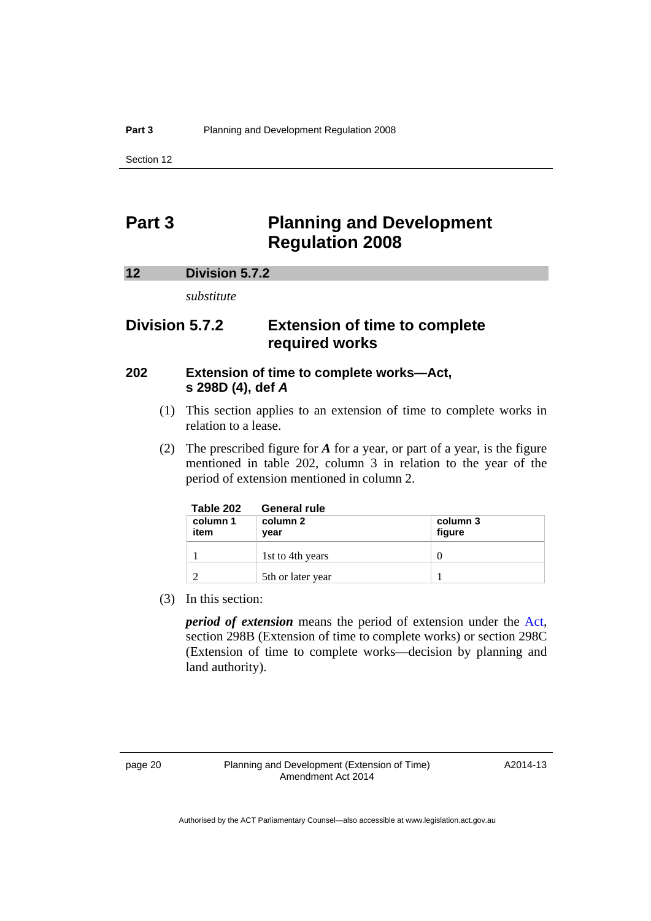## <span id="page-21-0"></span>**Part 3 Planning and Development Regulation 2008**

#### <span id="page-21-1"></span>**12 Division 5.7.2**

*substitute* 

## **Division 5.7.2 Extension of time to complete required works**

## **202 Extension of time to complete works—Act, s 298D (4), def** *A*

- (1) This section applies to an extension of time to complete works in relation to a lease.
- (2) The prescribed figure for *A* for a year, or part of a year, is the figure mentioned in table 202, column 3 in relation to the year of the period of extension mentioned in column 2.

| Table 202        | <b>General rule</b> |                    |
|------------------|---------------------|--------------------|
| column 1<br>item | column 2<br>year    | column 3<br>figure |
|                  | 1st to 4th years    | $\left( \right)$   |
|                  | 5th or later year   |                    |

(3) In this section:

*period of extension* means the period of extension under the [Act](http://www.legislation.act.gov.au/a/2007-24/default.asp), section 298B (Extension of time to complete works) or section 298C (Extension of time to complete works—decision by planning and land authority).